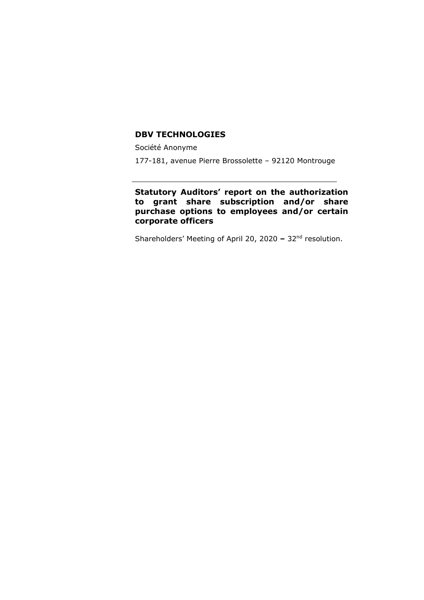#### **DBV TECHNOLOGIES**

Société Anonyme

177-181, avenue Pierre Brossolette – 92120 Montrouge

### **Statutory Auditors' report on the authorization to grant share subscription and/or share purchase options to employees and/or certain corporate officers**

Shareholders' Meeting of April 20, 2020 **–** 32nd resolution.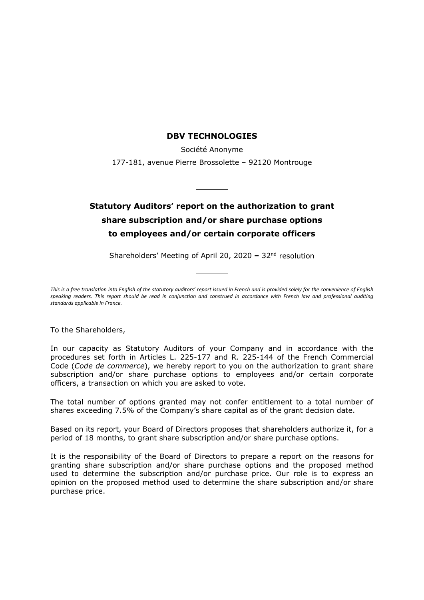#### **DBV TECHNOLOGIES**

Société Anonyme 177-181, avenue Pierre Brossolette – 92120 Montrouge

# **Statutory Auditors' report on the authorization to grant share subscription and/or share purchase options to employees and/or certain corporate officers**

Shareholders' Meeting of April 20, 2020 **–** 32nd resolution

*This is a free translation into English of the statutory auditors' report issued in French and is provided solely for the convenience of English speaking readers. This report should be read in conjunction and construed in accordance with French law and professional auditing standards applicable in France.*

To the Shareholders,

In our capacity as Statutory Auditors of your Company and in accordance with the procedures set forth in Articles L. 225-177 and R. 225-144 of the French Commercial Code (*Code de commerce*), we hereby report to you on the authorization to grant share subscription and/or share purchase options to employees and/or certain corporate officers, a transaction on which you are asked to vote.

The total number of options granted may not confer entitlement to a total number of shares exceeding 7.5% of the Company's share capital as of the grant decision date.

Based on its report, your Board of Directors proposes that shareholders authorize it, for a period of 18 months, to grant share subscription and/or share purchase options.

It is the responsibility of the Board of Directors to prepare a report on the reasons for granting share subscription and/or share purchase options and the proposed method used to determine the subscription and/or purchase price. Our role is to express an opinion on the proposed method used to determine the share subscription and/or share purchase price.